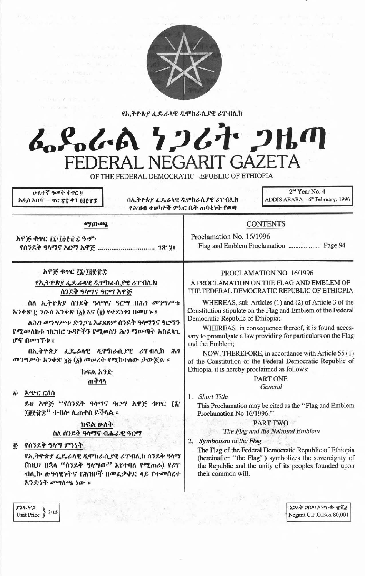

የኢትዮጵያ ፌዴራላዊ ዲሞክራሲያዊ ሪፐብሊክ

# んとんめ ケンムナ フルの FEDERAL NEGARIT GAZETA OF THE FEDERAL DEMOCRATIC EPUBLIC OF ETHIOPIA

<u>ሁለተኛ ዓመት ቁዋር ö</u> አዲስ አበባ — ተር ጽ፰ ቀን ፲፱፻፹፰

 $\|D\|_{L^1} \leq 2^{\gamma} \leq 2^{\gamma} \leq 1 \quad \text{and} \quad$ 

በኢትዮጵያ ፌዴራላዊ ዲሞክራሲያዊ ሪፐብሲክ የሕዝብ ተወካዮች ምክር ቤት ጠባቂነት የወጣ

2<sup>nd</sup> Year No. 4 ADDIS ABABA - 6th February, 1996

| ማውጫ                                                                                                                                                                               | <b>CONTENTS</b><br>Proclamation No. 16/1996<br>Flag and Emblem Proclamation  Page 94<br>PROCLAMATION NO. 16/1996<br>A PROCLAMATION ON THE FLAG AND EMBLEM OF<br>THE FEDERAL DEMOCRATIC REPUBLIC OF ETHIOPIA                                                                                           |  |
|-----------------------------------------------------------------------------------------------------------------------------------------------------------------------------------|-------------------------------------------------------------------------------------------------------------------------------------------------------------------------------------------------------------------------------------------------------------------------------------------------------|--|
| አዋጅ ቁጥር ፲፯/፲፱፻፹፰ ዓ.ም.<br>የሰንደቅ ዓላማና አርማ አዋጅ  1ጽ 10                                                                                                                                |                                                                                                                                                                                                                                                                                                       |  |
| አዋጅ ቁጥር ፲፯/፲፱፻፹፰<br>የኢትዮጵያ ፌዴራላዊ ዲሞክራሲያዊ ሪፐብሊክ<br>ሰንደቅ ዓላማና ዓርማ አዋጅ                                                                                                               |                                                                                                                                                                                                                                                                                                       |  |
| ስለ ኢትዮጵያ ሰንደቅ ዓላማና ዓርማ በሕገ መንግሥቱ<br>አንቀጽ ፫ ንዑስ አንቀጽ (፩) እና (፪) የተደነገን በመሆኑ ፤<br>ለሕገ መንግሥቱ ድንጋጌ አፈጻጸም ሰንደቅ ዓላማንና ዓርማን<br>የሚመለከቱ ዝርዝር ጉዳዮችን የሚወስን ሕግ ማውጣት አስፈላጊ<br>ሆኖ በመገኘቱ ፤       | WHEREAS, sub-Articles (1) and (2) of Article 3 of the<br>Constitution stipulate on the Flag and Emblem of the Federal<br>Democratic Republic of Ethiopia;<br>WHEREAS, in consequence thereof, it is found neces-<br>sary to promulgate a law providing for particulars on the Flag<br>and the Emblem; |  |
| በኢትዮጵያ ፌዴራላዊ ዲሞክራሲያዊ ሪፐብሊክ ሕገ<br>መንግሥት አንቀጽ ፶፩ (፩) መሠረት የሚከተለው ታውጇል ፡፡<br>ክፍል አንድ                                                                                                 | NOW, THEREFORE, in accordance with Article 55 (1)<br>of the Constitution of the Federal Democratic Republic of<br>Ethiopia, it is hereby proclaimed as follows:                                                                                                                                       |  |
| ጠቅሳሳ<br>አጭር ርዕስ<br>$\ddot{\mathbf{b}}$ .<br>ይሀ አዋጅ "የሰንደቅ ዓላማና ዓርማ አዋጅ ቁጥር ፲፮/<br>፲፱፻፹፰'' ተብሎ ሲጠቀስ ይችላል ፡፡<br>ክፍል ሁለት                                                             | <b>PART ONE</b><br>General<br>1. Short Title<br>This Proclamation may be cited as the "Flag and Emblem"<br>Proclamation No 16/1996."<br><b>PART TWO</b>                                                                                                                                               |  |
| ስለ ሰንደቅ ዓላማና ብሔራዊ ዓርማ<br>፪ የሰንደቅ ዓላማ ምንነት<br>የኢትዮጵያ ፌዴራላዊ ዲሞክራሲያዊ ሪፐብሊክ ሰንደቅ ዓላማ<br>(ከዚህ በኋላ "ሰንደቅ ዓላማው" እየተባለ የሚጠራ) የሪፐ<br>ብሊኩ ሎዓላዊነትና የሕዝቦች በመፌቃቀድ ላይ የተመሰረተ<br>አንድነት መግለጫ ነው ። | The Flag and the National Emblem<br>Symbolism of the Flag<br>2.<br>The Flag of the Federal Democratic Republic of Ethiopia<br>(hereinafter "the Flag") symbolizes the sovereignty of<br>the Republic and the unity of its peoples founded upon<br>their common will.                                  |  |

ነጋሪት ጋዜጣ ፖ።ሣ፡ቁ፡ ፹ሺ፩ Negarit G.P.O.Box 80,001

 $\frac{\mathcal{F}3\mathcal{R} \cdot \mathcal{P}2}{\text{Unit Price}}$   $\left.\begin{matrix} 2.15 \end{matrix}\right.$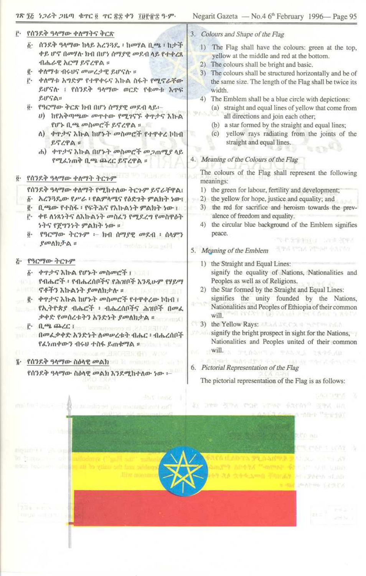#### ገጽ ፺፭ ነጋሪት ጋዜጣ ቁጥር ፬ ጥር ፳፰ ቀን ፲፱፻፹፰ ዓ.ም.

## ፫• የሰንደቅ ዓላማው ቀለማትና ቅርጽ

- ፩· ሰንደቅ ዓላማው ከላይ አረንጓዴ ፣ ከመሃል ቢጫ ፣ ከታች ቀይ ሆኖ በመሃሉ ክብ በሆነ ሰማያዊ መደብ ላይ የተቀረጸ ብሔራዊ አርማ ይኖረዋል ።
- ፪· ቀስማቱ ብሩሀና መሠረታዊ ይሆናሉ ፡፡
- ፫· ቀለማቱ አግድም የተዋቀሩና እኩል ስፋት የሚኖራቸው ይሆናሉ ፣ የሰንደቅ ዓላማው ወርድ የቁመቱ እዋፍ  $RIFGA$
- ö· የዓርማው ቅርጽ ክብ በሆነ ሰማያዊ መደብ ላይ፡-
	- ሀ) ከየአቅጣጫው መጥተው የሚገናኙ ቀጥታና እኩል የሆኑ ቢጫ መስመሮች ይኖረዋል ።
	- ለ) ቀዋታና እኩል ከሆኑት መስመሮች የተዋቀረ ኮከብ ይኖረዋል ።
	- ሐ) ቀጥታና እኩል በሆኑት መስመሮች መጋጠሚያ ላይ የሚፊነጠቅ ቢጫ ጨረር ይኖረዋል ።
- ፬· የሰንደቅ ዓላማው ቀለማት ትርጉም
	- የሰንደቅ ዓላማው ቀለማት የሚከተለው ትርጉም ይኖራቸዋል፣
	- δ· አረንጓዴው የሥራ ፣ የልምሳሜና የዕድንት ምልክት ነው፣
	- ፪• ቢጫው የተስፋ ፡ የፍትሕና የእኩልነት ምልክት ነው ፡
	- ፫· ቀዩ ለነጻነትና ለእኩልነት መስፈን የሚደረግ የመስዋዕት ነትና የጀማንነት ምልክት ነው ።
	- ፬· የዓርማው ትርጉም ፦ ክብ ሰማያዊ መደብ ፣ ሰላምን ያመለክታል ። sammare'll mobilized hem gotel

#### <u>ሯ የዓርማው ትርጉም</u>

- δ· ቀዋታና እኩል የሆኑት መስመሮች ፣
- የብሔሮች ፣ የብሔረሰቦችና የሕዝቦች እንዲሁም የሃይማ A 1000 **ኖቶችን እኩልንት** *ያመ***ለክታሉ ፡** በመልክታው ፡፡
- ፪· ቀዋታና እኩል ከሆኑት መስመሮች የተዋቀረው ኮከብ ፣
- የኢትዮጵያ ብሔሮች ፣ ብሔረሰቦችና ሕዝቦች በመሬ ቃቀድ የመሰረቱትን አንድነት ያመስክታል ፡፡ F. A.R. A.C.I per composito di XARITAT
- በመሬቃቀድ እንድነት ስመሠረቱት ብሔር ፣ ብሔረሰቦች የፊነጠቀውን ብሩሀ ተስፋ ይጠቁማል ፡፡ በመሆኑ የ
- WARRANT THREE REPORTS OF STATISTICS. ፮· የሰንደቅ ዓላማው ስዕላዊ መልክ በመጨመር በመሆኑ የ

## የሰንደቅ ዓላማው ስዕላዊ መልክ እንደሚከተለው ነው ፡–

#### 3. Colours and Shape of the Flag

- 1) The Flag shall have the colours: green at the top, yellow at the middle and red at the bottom.
- 2) The colours shall be bright and basic.
- 3) The colours shall be structured horizontally and be of the same size. The length of the Flag shall be twice its width.
- 4) The Emblem shall be a blue circle with depictions:
	- (a) straight and equal lines of yellow that come from all directions and join each other;
	- (b) a star formed by the straight and equal lines;
	- (c) yellow rays radiating from the joints of the straight and equal lines. **BERRY**

## 4. Meaning of the Colours of the Flag

The colours of the Flag shall represent the following meanings:

- 1) the green for labour, fertility and development;
- 2) the yellow for hope, justice and equality; and
- 3) the red for sacrifice and heroism towards the prevalence of freedom and equality.
- 4) the circular blue background of the Emblem signifies peace. 图字 中国 计自动字母 化二甲基

SPAYS PEAK THAN ASTAY

## 5. Meaning of the Emblem

- 1) the Straight and Equal Lines: signify the equality of Nations, Nationalities and Peoples as well as of Religions.
- 2) the Star formed by the Straight and Equal Lines: signifies the unity founded by the Nations, Nationalities and Peoples of Ethiopia of their common au しんじんしょ (集) うす (早) ふぶん ひのと さ なる will.
- (1 3) the Yellow Rays: ARA A ACCOUNT TO THE
- signify the bright prospect in sight for the Nations, Nationalities and Peoples united of their common WE DESCRIPTION TO PASSE INTO
- ATOme sunstance rever-6. Pictorial Representation of the Flag

The pictorial representation of the Flag is as follows:

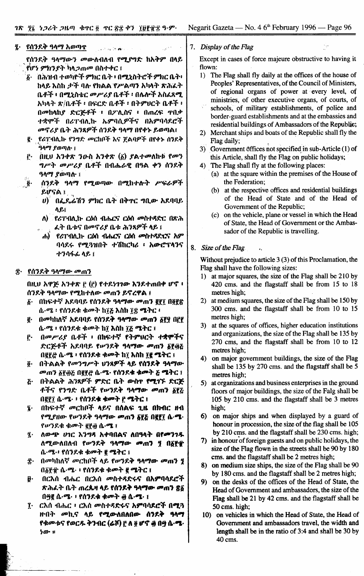፯· ደሰንደቅ ዓላማ አወጣ<u>ጥ</u> والأفقال والأردية الأربول

የሰንደቅ ዓላማውን መውለብለብ የ**ሚ**ያግድ ከአቅም በላይ የሆን ምክንያት ካላጋጠመ በስተቀር ፤

- δ· በሕዝብ ተወካዮች ምክር ቤት ፡ በሚኒስትሮች ምክር ቤት፡ ከላይ እስከ ታች ባሉ የክልል የሥልጣን አካላት ጽሕፈት ቤቶች ፥ በሚኒስቴር መሥሪያ ቤቶች ፥ በሌሎች አስፈጻሚ አካላት ጽ/ቤቶች ፡ በፍርድ ቤቶች ፡ በትምሀርት ቤቶች ፡ በመከላከያ ድርጅቶች ፣ በፖሊስና ፥ በጠረፍ ዋበቃ ተቋሞች በሪፐብሊኩ ኤምባሲዎችና በአምባሳደሮች መኖሪያ ቤት ሕንጸዎች ሰንደቅ ዓላማ በየቀኑ ይወጣል፤
- ፪· ያሪፐብሊኩ የንግድ መርከቦች እና ጀልባዎች በየቀኑ ሰንደቅ ዓላማ ያወጣሱ ፤
- $(0)$   $(1)$   $(1)$   $(2)$   $(2)$   $(3)$   $(4)$   $(5)$   $(5)$   $(6)$   $(7)$   $(7)$   $(8)$ ŕ٠ *ግሥት መሥሪያ* ቤቶች በብሔራዊ በዓል ቀን ሰንደቅ ዓላማ ያወጣሉ ፤
- ሰንደቅ ዓላማ የሚወጣው በሚከተሉት ሥፍራዎች  $\ddot{\mathbf{g}}$ . ይሆናል ፤
	- $\bm{v}$ ) በፌዴሬሽን ምክር ቤት በቅዮር ግቢው አደባባይ ለ ይ፤
	- ለ) የሪፐብሊኩ ርዕሰ ብሔርና ርዕሰ መስተዳድር በጽሕ <u>ፈት ቤቱና በመኖሪያ ቤቱ ሕንጻዎች ላይ ፤</u>
	- ሐ) የሪፐብሊኩ ርዕሰ ብሔርና ርዕሰ መስተዳድርና አም ባሳደሩ የሚጓዝበት ተሽከርካሪ ፡ አውሮፕላንና ተንሳፋፊ ላይ ፤

#### ፰· የሰንደቅ ዓላማው መጠን

በዚህ አዋጅ አንቀጽ ፫ (፫) የተደነገገው እንደተጠበቀ ሆኖ ፥ ሰንደቅ ዓላማው የሚከተለው መጠን ይኖረዋል ፤

- በከፍተኛ አደባባይ የሰንደቅ ዓ**ላማው መ**ጠን <u>ጀጀ</u>፤ በ፬፻፳  $\bm{\delta}$ . ሲ-ሜ ፡ የሰንደቁ ቁመት ከ፲፩ እስከ ፲፰ ሜትር ፡
- ፪· በመካከለኛ አደባባይ የሰንደቅ ዓላማው መጠን ፩፻፶ በ፫፻ ሴ-ሜ ፥ የሰንደቁ ቁመት ከ፲ እስከ ፲፩ ሜትር ፤
- በመሥሪያ ቤቶች ፥ በከፍተኛ የትምሀርት ተቋሞችና Ĉ٠ ድርጅቶች አደባባይ የሥንደቅ ዓላማው መጠን δየ፴ሯ በ፪፻፸ ሴ-ሜ ፣ የሰንዶቁ ቁመት ከ፲ እስከ ፲፪ ሜትር ፤
- ፬· በትልልቅ የመንግሥት ሀንጻዎች ላይ የሰንደቅ ዓላማው መጠን δየ፴፩ በ፪፻፸ ሴ-ሜ- የሰንደቁ ቁመት ፩ ሜትር ፤
- <u>ሯ በትልልቅ ሕንጻዎች ምድር ቤት ውስዮ የሚገኙ ድርጅ</u> ቶችና የንግድ ቤቶች የሥንደቅ ዓላማው መጠን ፩፻፩ በ፪፻፲ ሴ-ሜ- ፡ የሰንደቁ ቁመት ፫ ሜትር ፤
- በከፍተኛ መርከቦች ላይና በሰልፍ ጊዜ በክብር ዘብ  $\mathbf{\hat{z}}$ . የሚያዘው የሥንደቅ ዓላማው መጠን ፩፻፭ በ፪፻፲ ሴ-ሜ-የሥንደቁ ቁሙት ፪፻፴ ሴ·ሜ ፤
- ለውጭ ሀገር እንግዳ አቀባበልና ለበዓላት በየመንገዱ  $\vec{\mathbf{z}}$ . ለሚውለበለብ የሥንደቅ ዓላማው መጠን ፶ በ፩፻፹ ሴ·ሜ·፡ የሰንደቁ ቁመት ፪ ሜትር ፤
- ቿ. በመካከለኛ መርከቦች ላይ የሠንደቅ ዓላማው መጠን ያ በ፩፻፹ ሴ·ሜ· ፥ የሰንደቁ ቁመት ፪ ሜትር ፤
- በርእሰ ብሔር በርእሰ መስተዳድሩና በእምባሳደሮች į٠ ጽሕራት ቤት ጠረጱዛ ላይ የሰንደቅ ዓላማው መጠን ጽ፩ በ፵፪ ሲ·ሜ· ፥ የሰንደቁ ቁሙት ፴ ሲ·ሜ· ፤
- ፲· ርእሰ ብሔር ፥ ርእሰ መስተዳድሩና አምባሳደሮች በሚጓ ዙበት መኪና ላይ የሚውለበለበው ሰንደቅ ዓላማ የቁመቱና የወርዱ ቅንብር (ሬሾ) ፫ ለ ፬ ሆኖ ፴ በ<u>ዓ</u> ሴ·**ሜ·**  $20 - x$

7. Display of the Flag

Except in cases of force majeure obstructive to having it flown:

- 1) The Flag shall fly daily at the offices of the house of Peoples' Representatives, of the Council of Ministers, of regional organs of power at every level, of ministries, of other executive organs, of courts, of schools, of military establishments, of police and
- border-guard establishments and at the embassies and residential buildings of Ambassadors of the Republic; 2) Merchant ships and boats of the Republic shall fly the
- Flag daily;
- 3) Government offices not specified in sub-Article (1) of this Article, shall fly the Flag on public holidays;
- 4) The Flag shall fly at the following places:
	- (a) at the square within the premises of the House of the Federation;
	- (b) at the respective offices and residential buildings of the Head of State and of the Head of Government of the Republic;
	- (c) on the vehicle, plane or vessel in which the Head of State, the Head of Government or the Ambassador of the Republic is travelling.
- 8. Size of the Flag.  $\mathcal{L}_2$

Without prejudice to article  $3(3)$  of this Proclamation, the Flag shall have the following sizes:

- 1) at major squares, the size of the Flag shall be 210 by 420 cms. and the flagstaff shall be from 15 to 18 metres high;
- 2) at medium squares, the size of the Flag shall be 150 by 300 cms. and the flagstaff shall be from 10 to 15 metres high;
- 3) at the squares of offices, higher education institutions and organizations, the size of the Flag shall be 135 by 270 cms, and the flagstaff shall be from 10 to 12 metres high;
- 4) on major government buildings, the size of the Flag shall be 135 by 270 cms. and the flagstaff shall be 5 metres high;
- 5) at organizations and business enterprises in the ground floors of major buildings, the size of the Falg shall be 105 by 210 cms. and the flagstaff shall be 3 metres high:
- 6) on major ships and when displayed by a guard of honour in procession, the size of the flag shall be 105 by 210 cms. and the flagstaff shall be 230 cms. high;
- 7) in honour of foreign guests and on public holidays, the size of the Flag flown in the streets shall be 90 by 180 cms. and the flagstaff shall be 2 metres high;
- 8) on medium size ships, the size of the Flag shall be 90 by 180 cms. and the flagstaff shall be 2 metres high;
- 9) on the desks of the offices of the Head of State, the Head of Government and ambassadors, the size of the Flag shall be 21 by 42 cms. and the flagstaff shall be 50 cms. high;
- 10) on vehicles in which the Head of State, the Head of Government and ambassadors travel, the width and length shall be in the ratio of 3:4 and shall be 30 by 40 cms.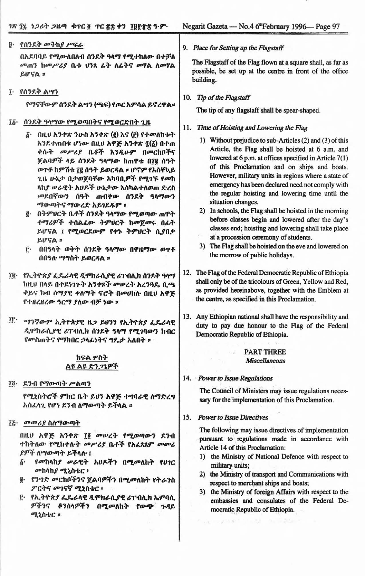| የሰንደቅ መትከያ ሥፍራ<br>$\vec{v}$                                                                                                                                                                                                                                                                                                                                                                                                                                                                      | 9. Place for Setting up the Flagstaff                                                                                                                                                                                                                                                                                                                                                                                                                                                                                                                                                                                                                                                                                     |  |  |
|--------------------------------------------------------------------------------------------------------------------------------------------------------------------------------------------------------------------------------------------------------------------------------------------------------------------------------------------------------------------------------------------------------------------------------------------------------------------------------------------------|---------------------------------------------------------------------------------------------------------------------------------------------------------------------------------------------------------------------------------------------------------------------------------------------------------------------------------------------------------------------------------------------------------------------------------------------------------------------------------------------------------------------------------------------------------------------------------------------------------------------------------------------------------------------------------------------------------------------------|--|--|
| በአደባባይ የሚውለበለብ ሰንደቅ ዓላማ የሚተከለው በተቻለ<br>መጠን ከመሥሪያ ቤቱ ሀንጻ ፊት ለፊትና መሃል ለመሃል<br>ይሆናል ።                                                                                                                                                                                                                                                                                                                                                                                                               | The Flagstaff of the Flag flown at a square shall, as far as<br>possible, be set up at the centre in front of the office<br>building.                                                                                                                                                                                                                                                                                                                                                                                                                                                                                                                                                                                     |  |  |
| ፲· የሰንደቅ ልሣን                                                                                                                                                                                                                                                                                                                                                                                                                                                                                     |                                                                                                                                                                                                                                                                                                                                                                                                                                                                                                                                                                                                                                                                                                                           |  |  |
| የማናቸውም ሰንደቅ ልሣን (ሜፍ) የጦር አምሳል ይኖረዋል።                                                                                                                                                                                                                                                                                                                                                                                                                                                             | 10. Tip of the Flagstaff                                                                                                                                                                                                                                                                                                                                                                                                                                                                                                                                                                                                                                                                                                  |  |  |
|                                                                                                                                                                                                                                                                                                                                                                                                                                                                                                  | The tip of any flagstaff shall be spear-shaped.                                                                                                                                                                                                                                                                                                                                                                                                                                                                                                                                                                                                                                                                           |  |  |
| ሰንደቅ ዓላማው የሚወጣበትና የሚወርድበት ጊዜ<br>Ĩğ.                                                                                                                                                                                                                                                                                                                                                                                                                                                              | 11. Time of Hoisting and Lowering the Flag                                                                                                                                                                                                                                                                                                                                                                                                                                                                                                                                                                                                                                                                                |  |  |
| በዚሀ አንቀጽ ንውስ አንቀጽ (፪) እና (፫) የተመለከቱት<br>δ.<br>እንደተጠበቁ ሆነው በዚሀ አዋጅ አንቀጽ ፯(፩) በተጠ<br>ቀሱት መሥሪያ ቤቶች እንዲሁም በመርከቦችና<br>ጀልባዎች ላይ ሰንደቅ ዓላማው ከጠዋቱ በ፲፪ ሰዓት<br>ወዋቶ ከምሽቱ ፲፪ ሰዓት ይወርዳል ፡፡ ሆኖም የአስቸኳይ<br>ጊዜ ሁኔታ በታወጀባቸው አካባቢዎች የሚገኙ የመከ<br>ላከያ ሥራዊት አሀዶች ሁኔታው እስካልተለወጠ ድረስ<br>መደበኛውን ሰዓት ጠብቀው ሰንደቅ ዓላማውን<br>ማውጣትና ማውረድ አይገደዱም ፡፡<br>g· በትምህርት ቤቶች ሰንደቅ ዓላማው የሚወጣው ጠዋት<br>ተማሪዎች ተሰልፌው ትምሀርት ከመጀመሩ በፊት<br>ይሆናል ፤ የሚወርደውም የቀኑ ትምህርት ሲያበቃ<br>$RIFA$ =<br>በበዓላት ወቅት ሰንደቅ ዓላማው በዋዜማው ወጥቶ<br>ŕ٠<br>በበዓሉ ማግስት ይወርዳል ፡፡ | 1) Without prejudice to sub-Articles (2) and (3) of this<br>Article, the Flag shall be hoisted at 6 a.m. and<br>lowered at 6 p.m. at offices specified in Article 7(1)<br>of this Proclamation and on ships and boats.<br>However, military units in regions where a state of<br>emergency has been declared need not comply with<br>the regular hoisting and lowering time until the<br>situation changes.<br>2) In schools, the Flag shall be hoisted in the morning<br>before classes begin and lowered after the day's<br>classes end; hoisting and lowering shall take place<br>at a procession ceremony of students.<br>The Flag shall be hoisted on the eve and lowered on<br>3)<br>the morrow of public holidays. |  |  |
| ፲፪· የኢትዮጵያ ፌዴራላዊ ዲሞክራሲያዊ ሪፐብሊክ ሰንደቅ ዓላማ<br>ከዚህ በላይ በተደነገጉት አንቀጾች መሠረት አረንጓዴ ቢጫ<br>ቀይና ክብ ሰማያዊ ቀለማት ኖሮት በመሀከሉ በዚሀ አዋጅ<br>የተዘረዘረው ዓርማ ያለው ብቻ ነው ።                                                                                                                                                                                                                                                                                                                                                  | 12. The Flag of the Federal Democratic Republic of Ethiopia<br>shall only be of the tricolours of Green, Yellow and Red,<br>as provided hereinabove, together with the Emblem at<br>the centre, as specified in this Proclamation.                                                                                                                                                                                                                                                                                                                                                                                                                                                                                        |  |  |
| IL.<br>ማንኛውም ኢትዮጵያዊ ዜጋ ይሆንን የኢትዮጵያ ፌዴራላዊ<br>ዲሞክራሲያዊ ሪፐብሊክ ሰንደቅ ዓላማ የሚገባውን ክብር<br>የመስጠትና የማክበር ኃላፊነትና <b>ግ</b> ዴታ አለበት ፡፡                                                                                                                                                                                                                                                                                                                                                                         | 13. Any Ethiopian national shall have the responsibility and<br>duty to pay due honour to the Flag of the Federal<br>Democratic Republic of Ethiopia.                                                                                                                                                                                                                                                                                                                                                                                                                                                                                                                                                                     |  |  |
|                                                                                                                                                                                                                                                                                                                                                                                                                                                                                                  | <b>PART THREE</b>                                                                                                                                                                                                                                                                                                                                                                                                                                                                                                                                                                                                                                                                                                         |  |  |
| ክፍል ሦስት<br>ልዩ ልዩ ድንጋጌዎች                                                                                                                                                                                                                                                                                                                                                                                                                                                                          | <b>Miscellaneous</b>                                                                                                                                                                                                                                                                                                                                                                                                                                                                                                                                                                                                                                                                                                      |  |  |
|                                                                                                                                                                                                                                                                                                                                                                                                                                                                                                  |                                                                                                                                                                                                                                                                                                                                                                                                                                                                                                                                                                                                                                                                                                                           |  |  |
| ደንብ የማውጣት ሥልጣን<br>Tö.                                                                                                                                                                                                                                                                                                                                                                                                                                                                            | 14. Power to Issue Regulations                                                                                                                                                                                                                                                                                                                                                                                                                                                                                                                                                                                                                                                                                            |  |  |
| የሚኒስትሮች ምክር ቤት ይሀን አዋጅ ተግባራዊ ለማድረግ<br>አስፈላጊ የሆነ ደንብ ለማውጣት ይችላል ፡፡                                                                                                                                                                                                                                                                                                                                                                                                                                | The Council of Ministers may issue regulations neces-<br>sary for the implementation of this Proclamation.                                                                                                                                                                                                                                                                                                                                                                                                                                                                                                                                                                                                                |  |  |
|                                                                                                                                                                                                                                                                                                                                                                                                                                                                                                  | <b>Power to Issue Directives</b><br>15.                                                                                                                                                                                                                                                                                                                                                                                                                                                                                                                                                                                                                                                                                   |  |  |
| ፲፭· መመሪያ ስለማውጣት<br>በዚህ አዋጅ አንቀጽ ፲፬ መሠረት የሚወጣውን ደንብ<br>ተከትለው የሚከተሉት መሥሪያ ቤቶች የአፈጻጸም መመሪ<br>ያዎች ለማውጣት ይችላሉ ፤<br><i>የመ</i> ከላከ <i>ያ ሡራ</i> ዊት <i>አህዶችን</i> በሚመለከት የሀገር<br>$\delta$ .<br>መከላከያ ሚኒስቴር ፥<br>፪· የንግድ መርከቦችንና ጀልባዎችን በሚመለከት የትራንስ<br>ፖርትና መገናኛ ሚኒስቴር ፡<br>፫·   የኢትዮጵያ ፌዴራላዊ ዲሞክራሲያዊ ሪፐብሊክ ኤምባሲ<br>ዎችንና ቆንስላዎችን በሚመለከት የውጭ ጉዳይ<br>ሚኒስቴር ።                                                                                                                                                 | The following may issue directives of implementation<br>pursuant to regulations made in accordance with<br>Article 14 of this Proclamation:<br>1) the Ministry of National Defence with respect to<br>military units;<br>the Ministry of transport and Communications with<br>respect to merchant ships and boats;<br>3) the Ministry of foreign Affairs with respect to the<br>embassies and consulates of the Federal De-<br>mocratic Republic of Ethiopia.<br>The second state (1999) - 1999 - 1999 - 1999 - 1999 - 1999                                                                                                                                                                                               |  |  |
|                                                                                                                                                                                                                                                                                                                                                                                                                                                                                                  |                                                                                                                                                                                                                                                                                                                                                                                                                                                                                                                                                                                                                                                                                                                           |  |  |

Т